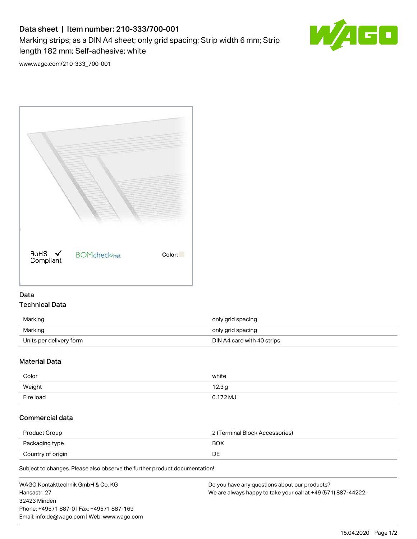## Data sheet | Item number: 210-333/700-001

Marking strips; as a DIN A4 sheet; only grid spacing; Strip width 6 mm; Strip length 182 mm; Self-adhesive; white



[www.wago.com/210-333\\_700-001](http://www.wago.com/210-333_700-001)



## Data Technical Data

| Marking                 | only grid spacing          |
|-------------------------|----------------------------|
| Marking                 | only grid spacing          |
| Units per delivery form | DIN A4 card with 40 strips |

## Material Data

| Color     | white      |
|-----------|------------|
| Weight    | 12.3g      |
| Fire load | $0.172$ MJ |

## Commercial data

| Product Group     | 2 (Terminal Block Accessories) |
|-------------------|--------------------------------|
| Packaging type    | <b>BOX</b>                     |
| Country of origin | DE                             |

Subject to changes. Please also observe the further product documentation!

| WAGO Kontakttechnik GmbH & Co. KG           | Do you have any questions about our products?                 |
|---------------------------------------------|---------------------------------------------------------------|
| Hansastr. 27                                | We are always happy to take your call at +49 (571) 887-44222. |
| 32423 Minden                                |                                                               |
| Phone: +49571 887-0   Fax: +49571 887-169   |                                                               |
| Email: info.de@wago.com   Web: www.wago.com |                                                               |